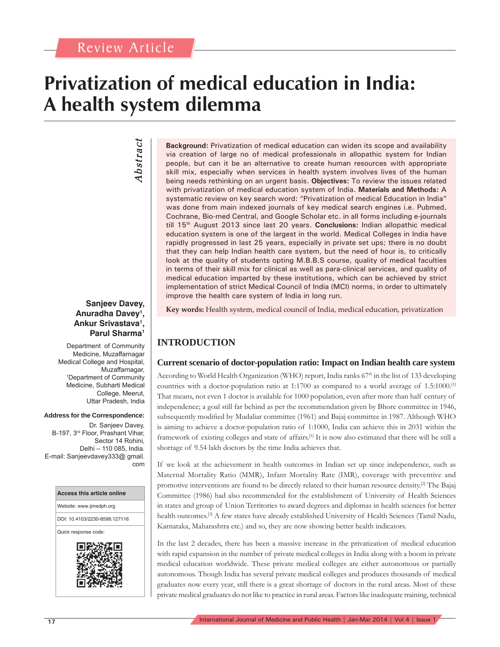## **Privatization of medical education in India: A health system dilemma**

# *Abstract* Abstract

#### **Sanjeev Davey, Anuradha Davey1 , Ankur Srivastava1 , Parul Sharma1**

Department of Community Medicine, Muzaffarnagar Medical College and Hospital, Muzaffarnagar, 1 Department of Community Medicine, Subharti Medical College, Meerut, Uttar Pradesh, India

#### **Address for the Correspondence:**

Dr. Sanjeev Davey, B-197, 3rd Floor, Prashant Vihar, Sector 14 Rohini, Delhi – 110 085, India. E-mail: Sanjeevdavey333@ gmail. com



**Background:** Privatization of medical education can widen its scope and availability via creation of large no of medical professionals in allopathic system for Indian people, but can it be an alternative to create human resources with appropriate skill mix, especially when services in health system involves lives of the human being needs rethinking on an urgent basis. **Objectives:** To review the issues related with privatization of medical education system of India. **Materials and Methods:** A systematic review on key search word: "Privatization of medical Education in India" was done from main indexed journals of key medical search engines i.e. Pubmed, Cochrane, Bio-med Central, and Google Scholar etc. in all forms including e-journals till 15th August 2013 since last 20 years. **Conclusions:** Indian allopathic medical education system is one of the largest in the world. Medical Colleges in India have rapidly progressed in last 25 years, especially in private set ups; there is no doubt that they can help Indian health care system, but the need of hour is, to critically look at the quality of students opting M.B.B.S course, quality of medical faculties in terms of their skill mix for clinical as well as para-clinical services, and quality of medical education imparted by these institutions, which can be achieved by strict implementation of strict Medical Council of India (MCI) norms, in order to ultimately improve the health care system of India in long run.

**Key words:** Health system, medical council of India, medical education, privatization

## **INTRODUCTION**

#### **Current scenario of doctor-population ratio: Impact on Indian health care system**

According to World Health Organization (WHO) report, India ranks  $67<sup>th</sup>$  in the list of 133 developing countries with a doctor-population ratio at 1:1700 as compared to a world average of 1.5:1000.[1] That means, not even 1 doctor is available for 1000 population, even after more than half century of independence; a goal still far behind as per the recommendation given by Bhore committee in 1946, subsequently modified by Mudaliar committee (1961) and Bajaj committee in 1987. Although WHO is aiming to achieve a doctor-population ratio of 1:1000, India can achieve this in 2031 within the framework of existing colleges and state of affairs.[1] It is now also estimated that there will be still a shortage of 9.54 lakh doctors by the time India achieves that.

If we look at the achievement in health outcomes in Indian set up since independence, such as Maternal Mortality Ratio (MMR), Infant Mortality Rate (IMR), coverage with preventive and promotive interventions are found to be directly related to their human resource density.[2] The Bajaj Committee (1986) had also recommended for the establishment of University of Health Sciences in states and group of Union Territories to award degrees and diplomas in health sciences for better health outcomes.[3] A few states have already established University of Health Sciences (Tamil Nadu, Karnataka, Maharashtra etc.) and so, they are now showing better health indicators.

In the last 2 decades, there has been a massive increase in the privatization of medical education with rapid expansion in the number of private medical colleges in India along with a boom in private medical education worldwide. These private medical colleges are either autonomous or partially autonomous. Though India has several private medical colleges and produces thousands of medical graduates now every year, still there is a great shortage of doctors in the rural areas. Most of these private medical graduates do not like to practice in rural areas. Factors like inadequate training, technical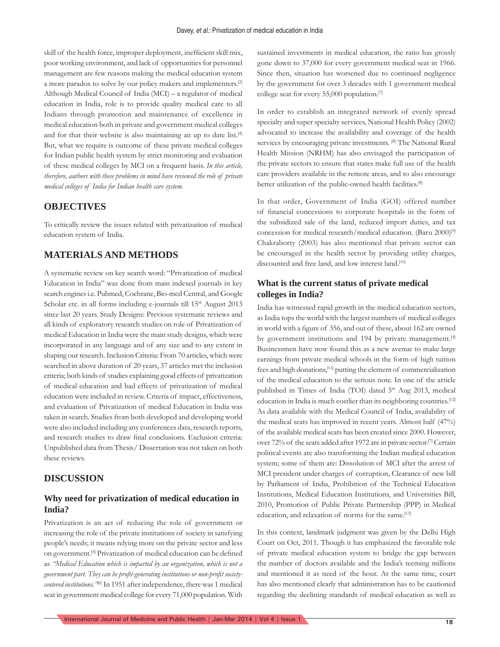skill of the health force, improper deployment, inefficient skill mix, poor working environment, and lack of opportunities for personnel management are few reasons making the medical education system a more paradox to solve by our policy makers and implementers.[2] Although Medical Council of India (MCI) – a regulator of medical education in India, role is to provide quality medical care to all Indians through promotion and maintenance of excellence in medical education both in private and government medical colleges and for that their website is also maintaining an up to date list.<sup>[4]</sup> But, what we require is outcome of these private medical colleges for Indian public health system by strict monitoring and evaluation of these medical colleges by MCI on a frequent basis. *In this article, therefore, authors with these problems in mind have reviewed the role of private medical colleges of India for Indian health care system.*

### **OBJECTIVES**

To critically review the issues related with privatization of medical education system of India.

## **MATERIALS AND METHODS**

A systematic review on key search word: "Privatization of medical Education in India" was done from main indexed journals in key search engines i.e. Pubmed, Cochrane, Bio-med Central, and Google Scholar etc. in all forms including e-journals till  $15<sup>th</sup>$  August 2013 since last 20 years. Study Designs: Previous systematic reviews and all kinds of exploratory research studies on role of Privatization of medical Education in India were the main study designs, which were incorporated in any language and of any size and to any extent in shaping our research. Inclusion Criteria: From 70 articles, which were searched in above duration of 20 years, 37 articles met the inclusion criteria; both kinds of studies explaining good effects of privatization of medical education and bad effects of privatization of medical education were included in review. Criteria of impact, effectiveness, and evaluation of Privatization of medical Education in India was taken in search. Studies from both developed and developing world were also included including any conferences data, research reports, and research studies to draw final conclusions. Exclusion criteria: Unpublished data from Thesis/ Dissertation was not taken on both these reviews.

#### **DISCUSSION**

#### **Why need for privatization of medical education in India?**

Privatization is an act of reducing the role of government or increasing the role of the private institutions of society in satisfying people's needs; it means relying more on the private sector and less on government.<sup>[5]</sup> Privatization of medical education can be defined as *"Medical Education which is imparted by an organization, which is not a*  government part. They can be profit-generating institutions or non-profit society*centered institutions."*[6] In 1951 after independence, there was 1 medical seat in government medical college for every 71,000 population. With

sustained investments in medical education, the ratio has grossly gone down to 37,000 for every government medical seat in 1966. Since then, situation has worsened due to continued negligence by the government for over 3 decades with 1 government medical college seat for every 55,000 population.[7]

In order to establish an integrated network of evenly spread specialty and super specialty services, National Health Policy (2002) advocated to increase the availability and coverage of the health services by encouraging private investments. [8] The National Rural Health Mission (NRHM) has also envisaged the participation of the private sectors to ensure that states make full use of the health care providers available in the remote areas, and to also encourage better utilization of the public-owned health facilities.[8]

In that order, Government of India (GOI) offered number of financial concessions to corporate hospitals in the form of the subsidized sale of the land, reduced import duties, and tax concession for medical research/medical education. (Baru 2000)<sup>[9]</sup> Chakraborty (2003) has also mentioned that private sector can be encouraged in the health sector by providing utility charges, discounted and free land, and low interest land.<sup>[10]</sup>

#### **What is the current status of private medical colleges in India?**

India has witnessed rapid growth in the medical education sectors, as India tops the world with the largest numbers of medical colleges in world with a figure of 356, and out of these, about 162 are owned by government institutions and 194 by private management.<sup>[4]</sup> Businessmen have now found this as a new avenue to make large earnings from private medical schools in the form of high tuition fees and high donations,[11] putting the element of commercialization of the medical education to the serious note. In one of the article published in Times of India (TOI) dated 5<sup>th</sup> Aug 2013, medical education in India is much costlier than its neighboring countries.[12] As data available with the Medical Council of India, availability of the medical seats has improved in recent years. Almost half (47%) of the available medical seats has been created since 2000. However, over 72% of the seats added after 1972 are in private sector.[7] Certain political events are also transforming the Indian medical education system; some of them are: Dissolution of MCI after the arrest of MCI president under charges of corruption, Clearance of new bill by Parliament of India, Prohibition of the Technical Education Institutions, Medical Education Institutions, and Universities Bill, 2010, Promotion of Public Private Partnership (PPP) in Medical education, and relaxation of norms for the same.<sup>[13]</sup>

In this context, landmark judgment was given by the Delhi High Court on Oct, 2011. Though it has emphasized the favorable role of private medical education system to bridge the gap between the number of doctors available and the India's teeming millions and mentioned it as need of the hour. At the same time, court has also mentioned clearly that administration has to be cautioned regarding the declining standards of medical education as well as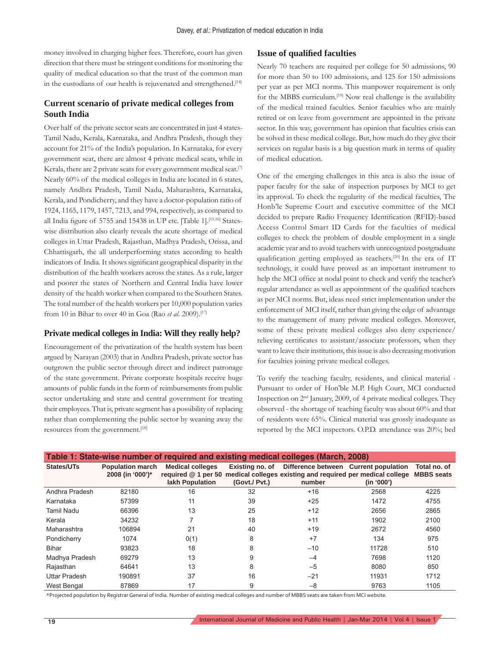money involved in charging higher fees. Therefore, court has given direction that there must be stringent conditions for monitoring the quality of medical education so that the trust of the common man in the custodians of our health is rejuvenated and strengthened.<sup>[14]</sup>

### **Current scenario of private medical colleges from South India**

Over half of the private sector seats are concentrated in just 4 states-Tamil Nadu, Kerala, Karnataka, and Andhra Pradesh, though they account for 21% of the India's population. In Karnataka, for every government seat, there are almost 4 private medical seats, while in Kerala, there are 2 private seats for every government medical seat.[7] Nearly 60% of the medical colleges in India are located in 6 states, namely Andhra Pradesh, Tamil Nadu, Maharashtra, Karnataka, Kerala, and Pondicherry, and they have a doctor-population ratio of 1924, 1165, 1179, 1457, 7213, and 994, respectively, as compared to all India figure of 5755 and 15438 in UP etc. [Table 1].<sup>[15,16]</sup> Stateswise distribution also clearly reveals the acute shortage of medical colleges in Uttar Pradesh, Rajasthan, Madhya Pradesh, Orissa, and Chhattisgarh, the all underperforming states according to health indicators of India. It shows significant geographical disparity in the distribution of the health workers across the states. As a rule, larger and poorer the states of Northern and Central India have lower density of the health worker when compared to the Southern States. The total number of the health workers per 10,000 population varies from 10 in Bihar to over 40 in Goa (Rao *et al*. 2009).[17]

#### **Private medical colleges in India: Will they really help?**

Encouragement of the privatization of the health system has been argued by Narayan (2003) that in Andhra Pradesh, private sector has outgrown the public sector through direct and indirect patronage of the state government. Private corporate hospitals receive huge amounts of public funds in the form of reimbursements from public sector undertaking and state and central government for treating their employees. That is, private segment has a possibility of replacing rather than complementing the public sector by weaning away the resources from the government.[18]

#### **Issue of qualified faculties**

Nearly 70 teachers are required per college for 50 admissions, 90 for more than 50 to 100 admissions, and 125 for 150 admissions per year as per MCI norms. This manpower requirement is only for the MBBS curriculum.<sup>[19]</sup> Now real challenge is the availability of the medical trained faculties. Senior faculties who are mainly retired or on leave from government are appointed in the private sector. In this way, government has opinion that faculties crisis can be solved in these medical college. But, how much do they give their services on regular basis is a big question mark in terms of quality of medical education.

One of the emerging challenges in this area is also the issue of paper faculty for the sake of inspection purposes by MCI to get its approval. To check the regularity of the medical faculties, The Honb'le Supreme Court and executive committee of the MCI decided to prepare Radio Frequency Identification (RFID)-based Access Control Smart ID Cards for the faculties of medical colleges to check the problem of double employment in a single academic year and to avoid teachers with unrecognized postgraduate qualification getting employed as teachers.<sup>[20]</sup> In the era of IT technology, it could have proved as an important instrument to help the MCI office at nodal point to check and verify the teacher's regular attendance as well as appointment of the qualified teachers as per MCI norms. But, ideas need strict implementation under the enforcement of MCI itself, rather than giving the edge of advantage to the management of many private medical colleges. Moreover, some of these private medical colleges also deny experience/ relieving certificates to assistant/associate professors, when they want to leave their institutions, this issue is also decreasing motivation for faculties joining private medical colleges.

To verify the teaching faculty, residents, and clinical material - Pursuant to order of Hon'ble M.P. High Court, MCI conducted Inspection on 2nd January, 2009, of 4 private medical colleges. They observed - the shortage of teaching faculty was about 60% and that of residents were 65%. Clinical material was grossly inadequate as reported by the MCI inspectors. O.P.D. attendance was 20%; bed

| Table 1: State-wise number of required and existing medical colleges (March, 2008) |                                             |                                            |                                  |                                                                                                                                              |            |              |
|------------------------------------------------------------------------------------|---------------------------------------------|--------------------------------------------|----------------------------------|----------------------------------------------------------------------------------------------------------------------------------------------|------------|--------------|
| <b>States/UTs</b>                                                                  | <b>Population march</b><br>2008 (in '000')* | <b>Medical colleges</b><br>lakh Population | Existing no. of<br>(Govt./ Pvt.) | Difference between Current population<br>required @ 1 per 50 medical colleges existing and required per medical college MBBS seats<br>number | (in '000') | Total no, of |
| Andhra Pradesh                                                                     | 82180                                       | 16                                         | 32                               | $+16$                                                                                                                                        | 2568       | 4225         |
| Karnataka                                                                          | 57399                                       | 11                                         | 39                               | $+25$                                                                                                                                        | 1472       | 4755         |
| Tamil Nadu                                                                         | 66396                                       | 13                                         | 25                               | $+12$                                                                                                                                        | 2656       | 2865         |
| Kerala                                                                             | 34232                                       |                                            | 18                               | $+11$                                                                                                                                        | 1902       | 2100         |
| Maharashtra                                                                        | 106894                                      | 21                                         | 40                               | $+19$                                                                                                                                        | 2672       | 4560         |
| Pondicherry                                                                        | 1074                                        | 0(1)                                       | 8                                | $+7$                                                                                                                                         | 134        | 975          |
| <b>Bihar</b>                                                                       | 93823                                       | 18                                         | 8                                | $-10$                                                                                                                                        | 11728      | 510          |
| Madhya Pradesh                                                                     | 69279                                       | 13                                         | 9                                | $-4$                                                                                                                                         | 7698       | 1120         |
| Rajasthan                                                                          | 64641                                       | 13                                         | 8                                | $-5$                                                                                                                                         | 8080       | 850          |
| Uttar Pradesh                                                                      | 190891                                      | 37                                         | 16                               | $-21$                                                                                                                                        | 11931      | 1712         |
| West Bengal                                                                        | 87869                                       | 17                                         | 9                                | $-8$                                                                                                                                         | 9763       | 1105         |

\*Projected population by Registrar General of India. Number of existing medical colleges and number of MBBS seats are taken from MCI website.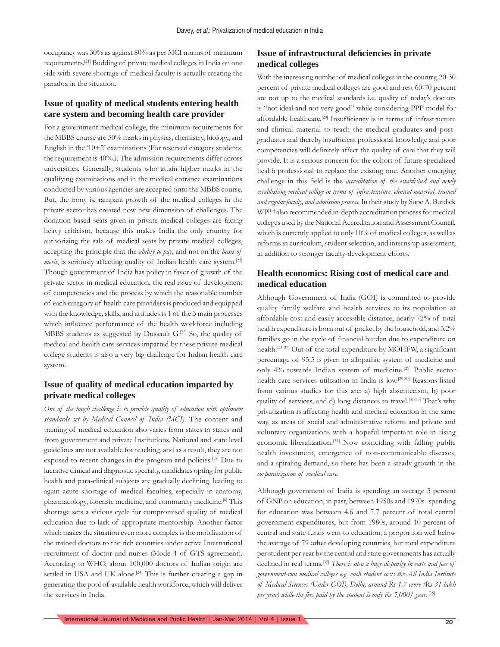occupancy was 30% as against 80% as per MCI norms of minimum requirements.[21] Budding of private medical colleges in India on one side with severe shortage of medical faculty is actually creating the paradox in the situation.

#### **Issue of quality of medical students entering health care system and becoming health care provider**

For a government medical college, the minimum requirements for the MBBS course are 50% marks in physics, chemistry, biology, and English in the '10+2' examinations (For reserved category students, the requirement is 40%.). The admission requirements differ across universities. Generally, students who attain higher marks in the qualifying examinations and in the medical entrance examinations conducted by various agencies are accepted onto the MBBS course. But, the irony is, rampant growth of the medical colleges in the private sector has created now new dimension of challenges. The donation-based seats given in private medical colleges are facing heavy criticism, because this makes India the only country for authorizing the sale of medical seats by private medical colleges, accepting the principle that the *ability to pay*, and not on the *basis of merit*, is seriously affecting quality of Indian health care system.<sup>[22]</sup> Though government of India has policy in favor of growth of the private sector in medical education, the real issue of development of competencies and the process by which the reasonable number of each category of health care providers is produced and equipped with the knowledge, skills, and attitudes is 1 of the 3 main processes which influence performance of the health workforce including MBBS students as suggested by Dussault  $G^{[23]}$  So, the quality of medical and health care services imparted by these private medical college students is also a very big challenge for Indian health care system.

### **Issue of quality of medical education imparted by private medical colleges**

*One of the tough challenge is to provide quality of education with optimum standards set by Medical Council of India (MCI)*. The content and training of medical education also varies from states to states and from government and private Institutions. National and state level guidelines are not available for teaching, and as a result, they are not exposed to recent changes in the program and policies.[15] Due to lucrative clinical and diagnostic specialty, candidates opting for public health and para-clinical subjects are gradually declining, leading to again acute shortage of medical faculties, especially in anatomy, pharmacology, forensic medicine, and community medicine.[8] This shortage sets a vicious cycle for compromised quality of medical education due to lack of appropriate mentorship. Another factor which makes the situation even more complex is the mobilization of the trained doctors to the rich countries under active International recruitment of doctor and nurses (Mode 4 of GTS agreement). According to WHO, about 100,000 doctors of Indian origin are settled in USA and UK alone.<sup>[24]</sup> This is further creating a gap in generating the pool of available health workforce, which will deliver the services in India.

#### **Issue of infrastructural defi ciencies in private medical colleges**

With the increasing number of medical colleges in the country, 20-30 percent of private medical colleges are good and rest 60-70 percent are not up to the medical standards i.e. quality of today's doctors is "not ideal and not very good" while considering PPP model for affordable healthcare.<sup>[20]</sup> Insufficiency is in terms of infrastructure and clinical material to teach the medical graduates and postgraduates and thereby insufficient professional knowledge and poor competencies will definitely affect the quality of care that they will provide. It is a serious concern for the cohort of future specialized health professional to replace the existing one. Another emerging challenge in this field is the *accreditation of the established and newly establishing medical college in terms of infrastructure, clinical material, trained and regular faculty, and admission process*. In their study by Supe A, Burdick WP[13] also recommended in-depth accreditation process for medical colleges used by the National Accreditation and Assessment Council, which is currently applied to only 10% of medical colleges, as well as reforms in curriculum, student selection, and internship assessment, in addition to stronger faculty-development efforts.

## **Health economics: Rising cost of medical care and medical education**

Although Government of India (GOI) is committed to provide quality family welfare and health services to its population at affordable cost and easily accessible distance, nearly 72% of total health expenditure is born out of pocket by the household,and 3.2% families go in the cycle of financial burden due to expenditure on health.<sup>[25-27]</sup> Out of the total expenditure by MOHFW, a significant percentage of 95.5 is given to allopathic system of medicine and only 4% towards Indian system of medicine.[28] Public sector health care services utilization in India is low.[29,30] Reasons listed from various studies for this are: a) high absenteeism, b) poor quality of services, and d) long distances to travel.[31-33] That's why privatization is affecting health and medical education in the same way, as areas of social and administrative reform and private and voluntary organizations with a hopeful important role in rising economic liberalization.[34] Now coinciding with falling public health investment, emergence of non-communicable diseases, and a spiraling demand, so there has been a steady growth in the *corporatization of medical care*.

Although government of India is spending an average 3 percent of GNP on education, in past, between 1950s and 1970s- spending for education was between 4.6 and 7.7 percent of total central government expenditures, but from 1980s, around 10 percent of central and state funds went to education, a proportion well below the average of 79 other developing countries, but total expenditure per student per year by the central and state governments has actually declined in real terms.[35] *There is also a huge disparity in costs and fees of government-run medical colleges e.g. each student costs the All India Institute of Medical Sciences (Under GOI), Delhi, around Rs 1.7 crore (Rs 31 lakh per year) while the fees paid by the student is only Rs 5,000/ year.* [36]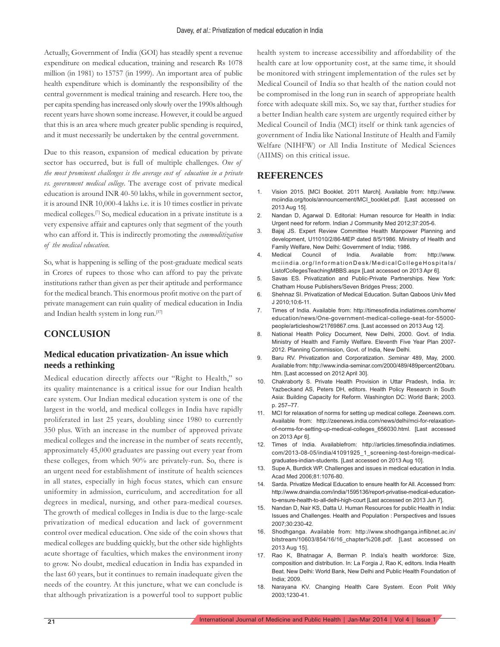Actually, Government of India (GOI) has steadily spent a revenue expenditure on medical education, training and research Rs 1078 million (in 1981) to 15757 (in 1999). An important area of public health expenditure which is dominantly the responsibility of the central government is medical training and research. Here too, the per capita spending has increased only slowly over the 1990s although recent years have shown some increase. However, it could be argued that this is an area where much greater public spending is required, and it must necessarily be undertaken by the central government.

Due to this reason, expansion of medical education by private sector has occurred, but is full of multiple challenges. *One of the most prominent challenges is the average cost of education in a private vs. government medical college*. The average cost of private medical education is around INR 40-50 lakhs, while in government sector, it is around INR 10,000-4 lakhs i.e. it is 10 times costlier in private medical colleges.[7] So, medical education in a private institute is a very expensive affair and captures only that segment of the youth who can afford it. This is indirectly promoting the *commoditization of the medical education.* 

So, what is happening is selling of the post-graduate medical seats in Crores of rupees to those who can afford to pay the private institutions rather than given as per their aptitude and performance for the medical branch. This enormous profit motive on the part of private management can ruin quality of medical education in India and Indian health system in long run.[37]

#### **CONCLUSION**

## **Medical education privatization- An issue which needs a rethinking**

Medical education directly affects our "Right to Health," so its quality maintenance is a critical issue for our Indian health care system. Our Indian medical education system is one of the largest in the world, and medical colleges in India have rapidly proliferated in last 25 years, doubling since 1980 to currently 350 plus. With an increase in the number of approved private medical colleges and the increase in the number of seats recently, approximately 45,000 graduates are passing out every year from these colleges, from which 90% are privately-run. So, there is an urgent need for establishment of institute of health sciences in all states, especially in high focus states, which can ensure uniformity in admission, curriculum, and accreditation for all degrees in medical, nursing, and other para-medical courses. The growth of medical colleges in India is due to the large-scale privatization of medical education and lack of government control over medical education. One side of the coin shows that medical colleges are budding quickly, but the other side highlights acute shortage of faculties, which makes the environment irony to grow. No doubt, medical education in India has expanded in the last 60 years, but it continues to remain inadequate given the needs of the country. At this juncture, what we can conclude is that although privatization is a powerful tool to support public

health system to increase accessibility and affordability of the health care at low opportunity cost, at the same time, it should be monitored with stringent implementation of the rules set by Medical Council of India so that health of the nation could not be compromised in the long run in search of appropriate health force with adequate skill mix. So, we say that, further studies for a better Indian health care system are urgently required either by Medical Council of India (MCI) itself or think tank agencies of government of India like National Institute of Health and Family Welfare (NIHFW) or All India Institute of Medical Sciences (AIIMS) on this critical issue.

#### **REFERENCES**

- 1. Vision 2015. [MCI Booklet. 2011 March]. Available from: http://www. mciindia.org/tools/announcement/MCI\_booklet.pdf. [Last accessed on 2013 Aug 15].
- 2. Nandan D, Agarwal D. Editorial: Human resource for Health in India: Urgent need for reform. Indian J Community Med 2012;37:205-6.
- 3. Bajaj JS. Expert Review Committee Health Manpower Planning and development, U11010/2/86-MEP dated 8/5/1986. Ministry of Health and Family Welfare, New Delhi: Government of India; 1986.
- 4. Medical Council of India. Available from: http://www. mciindia.org/InformationDesk/MedicalCollegeHospitals/ ListofCollegesTeachingMBBS.aspx [Last accessed on 2013 Apr 6].
- 5. Savas ES. Privatization and Public-Private Partnerships. New York: Chatham House Publishers/Seven Bridges Press; 2000.
- 6. Shehnaz SI. Privatization of Medical Education. Sultan Qaboos Univ Med J 2010;10:6-11.
- 7. Times of India. Available from: http://timesofindia.indiatimes.com/home/ education/news/One-government-medical-college-seat-for-55000 people/articleshow/21769867.cms. [Last accessed on 2013 Aug 12].
- 8. National Health Policy Document, New Delhi, 2000. Govt. of India. Ministry of Health and Family Welfare. Eleventh Five Year Plan 2007- 2012. Planning Commission, Govt. of India, New Delhi.
- 9. Baru RV. Privatization and Corporatization. *Seminar* 489, May, 2000. Available from: http://www.india-seminar.com/2000/489/489percent20baru. htm. [Last accessed on 2012 April 30].
- 10. Chakraborty S. Private Health Provision in Uttar Pradesh, India. In: Yazbeckand AS, Peters DH, editors. Health Policy Research in South Asia: Building Capacity for Reform. Washington DC: World Bank; 2003. p. 257–77.
- 11. MCI for relaxation of norms for setting up medical college. Zeenews.com. Available from: http://zeenews.india.com/news/delhi/mci-for-relaxationof-norms-for-setting-up-medical-colleges\_656030.html. [Last accessed on 2013 Apr 6].
- 12. Times of India. Availablefrom: http://articles.timesofindia.indiatimes. com/2013-08-05/india/41091925\_1\_screening-test-foreign-medicalgraduates-indian-students. [Last accessed on 2013 Aug 10].
- 13. Supe A, Burdick WP. Challenges and issues in medical education in India. Acad Med 2006;81:1076-80.
- 14. Sarda. Privatize Medical Education to ensure health for All. Accessed from: http://www.dnaindia.com/india/1595136/report-privatise-medical-educationto-ensure-health-to-all-delhi-high-court [Last accessed on 2013 Jun 7].
- 15. Nandan D, Nair KS, Datta U. Human Resources for public Health in India: Issues and Challenges. Health and Population : Perspectives and Issues 2007;30:230-42.
- 16. Shodhganga. Available from: http://www.shodhganga.inflibnet.ac.in/ bitstream/10603/854/16/16\_chapter%208.pdf. [Last accessed on 2013 Aug 15].
- 17. Rao K, Bhatnagar A, Berman P. India's health workforce: Size, composition and distribution. In: La Forgia J, Rao K, editors. India Health Beat. New Delhi: World Bank, New Delhi and Public Health Foundation of India; 2009.
- 18. Narayana KV. Changing Health Care System. Econ Polit Wkly 2003;1230-41.